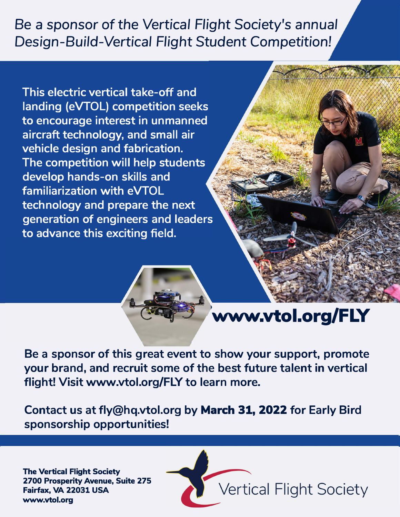## Be a sponsor *of* the *Vertical* Flight Society's *annual Design-Build-Vertical* Flight Student Competition!

**This electric vertical take-off and landing (eVTOL) competition seeks to encourage interest in unmanned aircraft technology, and small air vehicle design and fabrication. The competition will help students develop hands-on skills and familiarization with eVTOL technology and prepare the next generation of engineers and leaders to advance this exciting field.** 





**Be a sponsor of this great event to show your support, promote your brand, and recruit some of the best future talent in vertical flight! Visit www.vtol.org/FLY to learn more.** 

**Contact us at fly@hq.vtol.org by March 31, 2022 for Early Bird sponsorship opportunities!** 

**The Vertical Flight Society 2700 Prosperity Avenue, Suite 275 www.vto l.org Fairfax, VA 22031 USA**